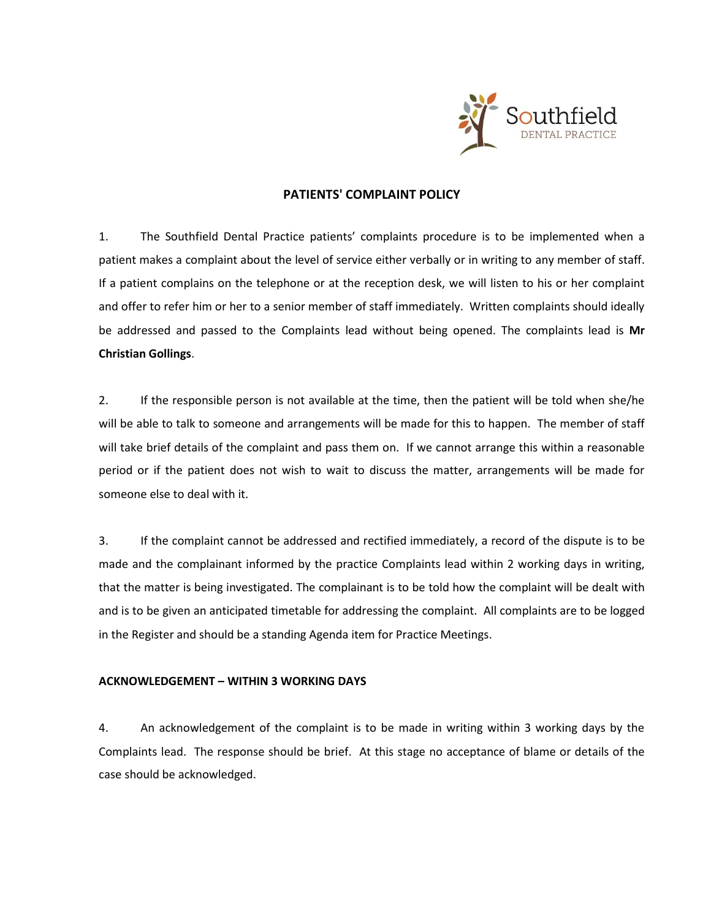

# **PATIENTS' COMPLAINT POLICY**

1. The Southfield Dental Practice patients' complaints procedure is to be implemented when a patient makes a complaint about the level of service either verbally or in writing to any member of staff. If a patient complains on the telephone or at the reception desk, we will listen to his or her complaint and offer to refer him or her to a senior member of staff immediately. Written complaints should ideally be addressed and passed to the Complaints lead without being opened. The complaints lead is **Mr Christian Gollings**.

2. If the responsible person is not available at the time, then the patient will be told when she/he will be able to talk to someone and arrangements will be made for this to happen. The member of staff will take brief details of the complaint and pass them on. If we cannot arrange this within a reasonable period or if the patient does not wish to wait to discuss the matter, arrangements will be made for someone else to deal with it.

3. If the complaint cannot be addressed and rectified immediately, a record of the dispute is to be made and the complainant informed by the practice Complaints lead within 2 working days in writing, that the matter is being investigated. The complainant is to be told how the complaint will be dealt with and is to be given an anticipated timetable for addressing the complaint. All complaints are to be logged in the Register and should be a standing Agenda item for Practice Meetings.

### **ACKNOWLEDGEMENT – WITHIN 3 WORKING DAYS**

4. An acknowledgement of the complaint is to be made in writing within 3 working days by the Complaints lead. The response should be brief. At this stage no acceptance of blame or details of the case should be acknowledged.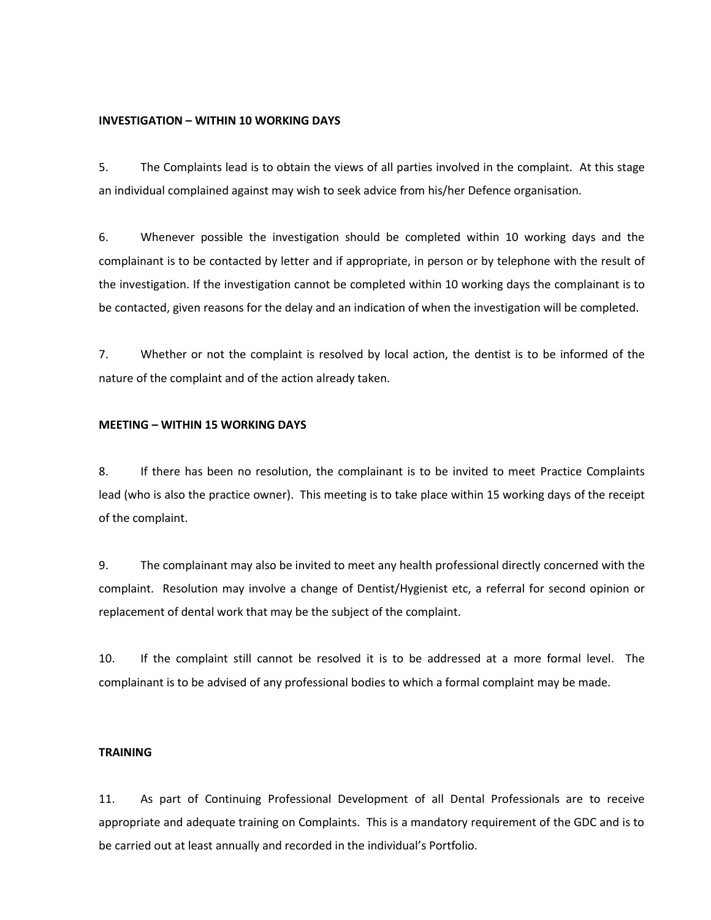### **INVESTIGATION – WITHIN 10 WORKING DAYS**

5. The Complaints lead is to obtain the views of all parties involved in the complaint. At this stage an individual complained against may wish to seek advice from his/her Defence organisation.

6. Whenever possible the investigation should be completed within 10 working days and the complainant is to be contacted by letter and if appropriate, in person or by telephone with the result of the investigation. If the investigation cannot be completed within 10 working days the complainant is to be contacted, given reasons for the delay and an indication of when the investigation will be completed.

7. Whether or not the complaint is resolved by local action, the dentist is to be informed of the nature of the complaint and of the action already taken.

#### **MEETING – WITHIN 15 WORKING DAYS**

8. If there has been no resolution, the complainant is to be invited to meet Practice Complaints lead (who is also the practice owner). This meeting is to take place within 15 working days of the receipt of the complaint.

9. The complainant may also be invited to meet any health professional directly concerned with the complaint. Resolution may involve a change of Dentist/Hygienist etc, a referral for second opinion or replacement of dental work that may be the subject of the complaint.

10. If the complaint still cannot be resolved it is to be addressed at a more formal level. The complainant is to be advised of any professional bodies to which a formal complaint may be made.

### **TRAINING**

11. As part of Continuing Professional Development of all Dental Professionals are to receive appropriate and adequate training on Complaints. This is a mandatory requirement of the GDC and is to be carried out at least annually and recorded in the individual's Portfolio.